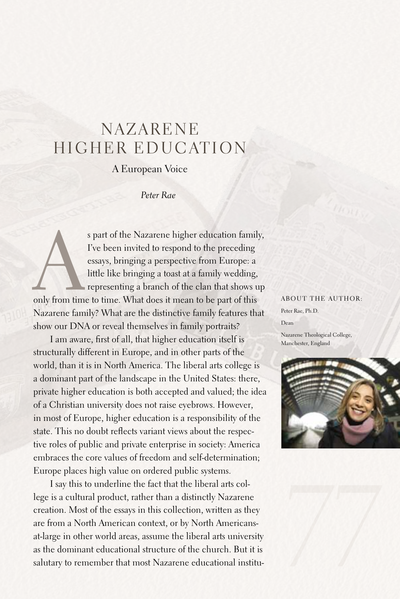## **NAZARENE** HIGHER EDUCATION

## A European Voice

## *Peter Rae*

s part of the Nazarene higher education family,<br>
I've been invited to respond to the preceding<br>
essays, bringing a perspective from Europe: a<br>
little like bringing a toast at a family wedding,<br>
representing a branch of the I've been invited to respond to the preceding essays, bringing a perspective from Europe: a little like bringing a toast at a family wedding, representing a branch of the clan that shows up Nazarene family? What are the distinctive family features that show our DNA or reveal themselves in family portraits?

I am aware, first of all, that higher education itself is structurally different in Europe, and in other parts of the world, than it is in North America. The liberal arts college is a dominant part of the landscape in the United States: there, private higher education is both accepted and valued; the idea of a Christian university does not raise eyebrows. However, in most of Europe, higher education is a responsibility of the state. This no doubt reflects variant views about the respective roles of public and private enterprise in society: America embraces the core values of freedom and self-determination; Europe places high value on ordered public systems.

I say this to underline the fact that the liberal arts college is a cultural product, rather than a distinctly Nazarene creation. Most of the essays in this collection, written as they are from a North American context, or by North Americansat-large in other world areas, assume the liberal arts university as the dominant educational structure of the church. But it is salutary to remember that most Nazarene educational institu-

## About the author:

Peter Rae, Ph.D. Dean Nazarene Theological College,

Manchester, England



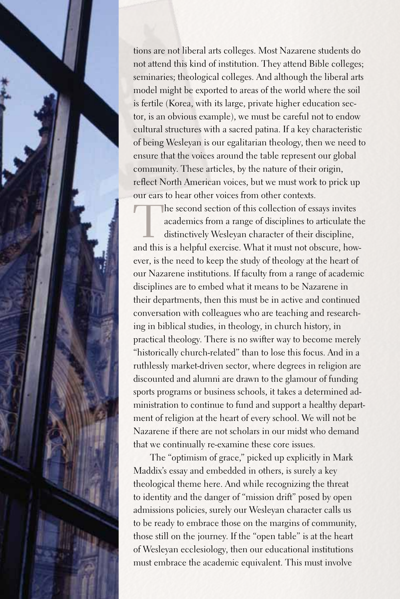tions are not liberal arts colleges. Most Nazarene students do not attend this kind of institution. They attend Bible colleges; seminaries; theological colleges.And although the liberal arts model might be exported to areas of the world where the soil is fertile (Korea, with its large, private higher education sector, is an obvious example), we must be careful not to endow cultural structures with a sacred patina. If a key characteristic of being Wesleyan is our egalitarian theology, then we need to ensure that the voices around the table represent our global community. These articles, by the nature of their origin, reflect North American voices, but we must work to prick up our ears to hear other voices from other contexts.

The second section of this collection of essays invites<br>academics from a range of disciplines to articulate the<br>distinctively Wesleyan character of their discipline,<br>and this is a halpful exercise. What it must not obseure academics from a range of disciplines to articulate the distinctively Wesleyan character of their discipline, and this is a helpful exercise. What it must not obscure, however, is the need to keep the study of theology at the heart of our Nazarene institutions. If faculty from a range of academic disciplines are to embed what it means to be Nazarene in their departments, then this must be in active and continued conversation with colleagues who are teaching and researching in biblical studies, in theology, in church history, in practical theology. There is no swifter way to become merely "historically church-related" than to lose this focus.And in a ruthlessly market-driven sector, where degrees in religion are discounted and alumni are drawn to the glamour of funding sports programs or business schools, it takes a determined administration to continue to fund and support a healthy department of religion at the heart of every school. We will not be Nazarene if there are not scholars in our midst who demand that we continually re-examine these core issues.

The "optimism of grace," picked up explicitly in Mark Maddix's essay and embedded in others, is surely a key theological theme here.And while recognizing the threat to identity and the danger of "mission drift" posed by open admissions policies, surely our Wesleyan character calls us to be ready to embrace those on the margins of community, those still on the journey. If the "open table" is at the heart of Wesleyan ecclesiology, then our educational institutions must embrace the academic equivalent. This must involve

78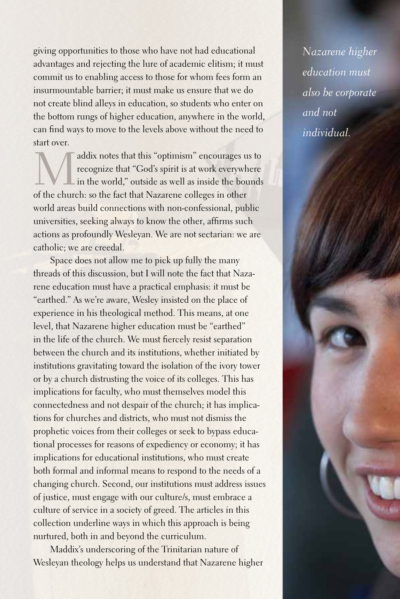giving opportunities to those who have not had educational advantages and rejecting the lure of academic elitism; it must commit us to enabling access to those for whom fees form an insurmountable barrier; it must make us ensure that we do not create blind alleys in education, so students who enter on the bottom rungs of higher education, anywhere in the world, can find ways to move to the levels above without the need to start over.

addix notes that this "optimism" encourages us to recognize that "God's spirit is at work everywhere in the world," outside as well as inside the bounds of the church: so the fact that Nazarene colleges in other world areas build connections with non-confessional, public universities, seeking always to know the other, affirms such actions as profoundly Wesleyan. We are not sectarian: we are catholic; we are creedal.

Space does not allow me to pick up fully the many threads of this discussion, but I will note the fact that Nazarene education must have a practical emphasis: it must be "earthed." As we're aware, Wesley insisted on the place of experience in his theological method. This means, at one level, that Nazarene higher education must be "earthed" in the life of the church. We must fiercely resist separation between the church and its institutions, whether initiated by institutions gravitating toward the isolation of the ivory tower or by a church distrusting the voice of its colleges. This has implications for faculty, who must themselves model this connectedness and not despair of the church; it has implications for churches and districts, who must not dismiss the prophetic voices from their colleges or seek to bypass educational processes for reasons of expediency or economy; it has implications for educational institutions, who must create both formal and informal means to respond to the needs of a changing church.Second, our institutions must address issues of justice, must engage with our culture/s, must embrace a culture of service in a society of greed. The articles in this collection underline ways in which this approach is being nurtured, both in and beyond the curriculum.

Maddix's underscoring of the Trinitarian nature of Wesleyan theology helps us understand that Nazarene higher *Nazarene higher education must also be corporate and not individual.*

*79*